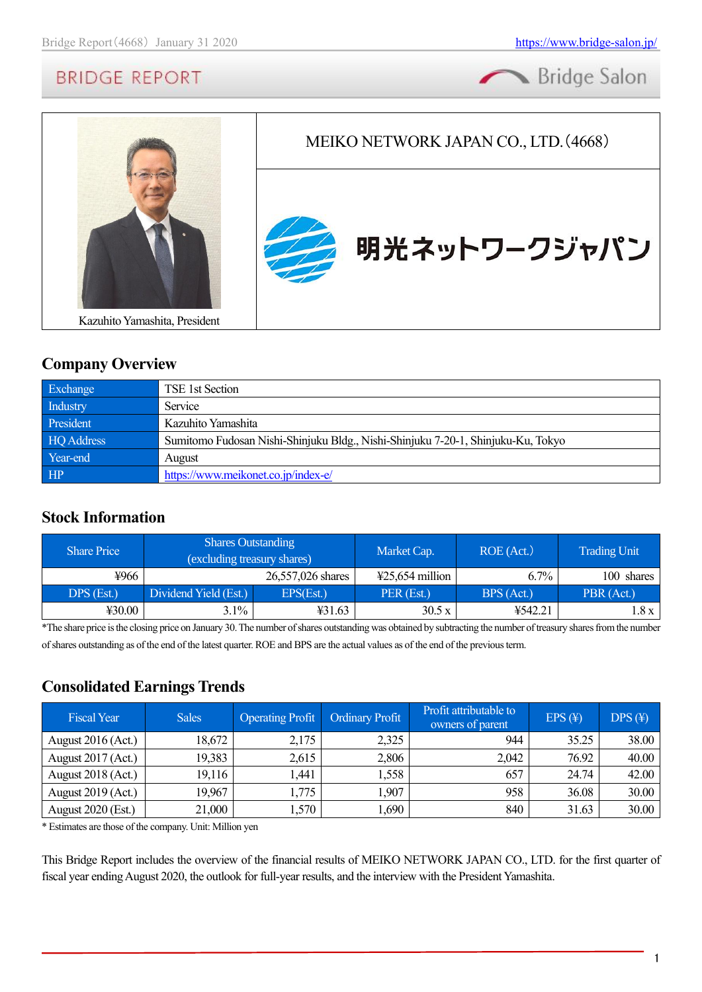



### **Company Overview**

| Exchange          | TSE 1st Section                                                                  |
|-------------------|----------------------------------------------------------------------------------|
| Industry          | Service                                                                          |
| President         | Kazuhito Yamashita                                                               |
| <b>HQ</b> Address | Sumitomo Fudosan Nishi-Shinjuku Bldg., Nishi-Shinjuku 7-20-1, Shinjuku-Ku, Tokyo |
| Year-end          | August                                                                           |
| HP                | https://www.meikonet.co.jp/index-e/                                              |

### **Stock Information**

| <b>Share Price</b> | <b>Shares Outstanding</b><br>(excluding treasury shares) |                   | Market Cap.               | ROE (Act.) | <b>Trading Unit</b> |
|--------------------|----------------------------------------------------------|-------------------|---------------------------|------------|---------------------|
| ¥966               |                                                          | 26,557,026 shares | $\text{\#25,654}$ million | $6.7\%$    | 100 shares          |
| DPS (Est.)         | Dividend Yield (Est.)                                    | EPS(Est.)         | PER (Est.)                | BPS (Act.) | PBR (Act.)          |
| 430.00             | $3.1\%$                                                  | ¥31.63            | 30.5 x                    | ¥542.21    | 1.8 x 1             |

\*The share price is the closing price on January 30.The number of shares outstanding was obtained by subtracting the number of treasury shares from the number of shares outstanding as of the end of the latest quarter. ROE and BPS are the actual values as of the end of the previous term.

### **Consolidated Earnings Trends**

| <b>Fiscal Year</b>        | <b>Sales</b> | <b>Operating Profit</b> | Ordinary Profit | Profit attributable to<br>owners of parent | $EPS(\textnormal{\texttt{F}})$ | $DPS(\textnormal{\texttt{F}})$ |
|---------------------------|--------------|-------------------------|-----------------|--------------------------------------------|--------------------------------|--------------------------------|
| August $2016$ (Act.)      | 18,672       | 2,175                   | 2,325           | 944                                        | 35.25                          | 38.00                          |
| August 2017 (Act.)        | 19,383       | 2,615                   | 2,806           | 2,042                                      | 76.92                          | 40.00                          |
| August 2018 (Act.)        | 19,116       | 1,441                   | 1,558           | 657                                        | 24.74                          | 42.00                          |
| August 2019 (Act.)        | 19,967       | 1,775                   | 1,907           | 958                                        | 36.08                          | 30.00                          |
| <b>August 2020 (Est.)</b> | 21,000       | 1,570                   | 1,690           | 840                                        | 31.63                          | 30.00                          |

\* Estimates are those of the company. Unit: Million yen

This Bridge Report includes the overview of the financial results of MEIKO NETWORK JAPAN CO., LTD. for the first quarter of fiscal year ending August 2020, the outlook for full-year results, and the interview with the President Yamashita.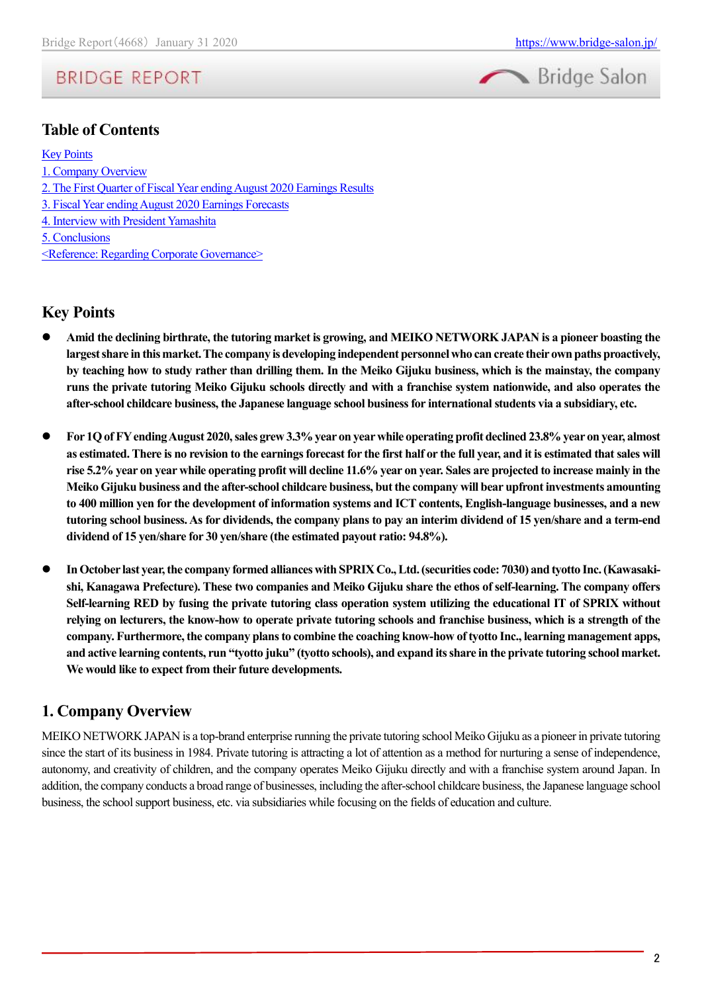

### **Table of Contents**

#### [Key Points](#page-1-0)

[1. Company Overview](#page-1-1) [2. The First Quarter of Fiscal Year ending August 2020 Earnings Results](#page-4-0) [3. Fiscal Year ending August 2020 Earnings Forecasts](#page-8-0) [4. Interview with President Yamashita](#page-9-0)

[5. Conclusions](#page-16-0)

[<Reference: Regarding Corporate Governance>](#page-16-1)

### <span id="page-1-0"></span>**Key Points**

- ⚫ **Amid the declining birthrate, the tutoring market is growing, and MEIKO NETWORK JAPAN is a pioneer boasting the largest share in this market. The company is developing independent personnel who can create their own paths proactively, by teaching how to study rather than drilling them. In the Meiko Gijuku business, which is the mainstay, the company runs the private tutoring Meiko Gijuku schools directly and with a franchise system nationwide, and also operates the after-school childcare business, the Japanese language school business for international students via a subsidiary, etc.**
- ⚫ **For 1Qof FYending August 2020, sales grew 3.3% year on year while operating profit declined 23.8% year on year, almost as estimated. There is no revision to the earnings forecast for the first half or the full year, and it is estimated that sales will rise 5.2% year on year while operating profit will decline 11.6% year on year. Sales are projected to increase mainly in the Meiko Gijuku business and the after-school childcare business, but the company will bear upfront investments amounting to 400 million yen for the development of information systems and ICT contents, English-language businesses, and a new tutoring school business. As for dividends, the company plans to pay an interim dividend of 15 yen/share and a term-end dividend of 15 yen/share for 30 yen/share (the estimated payout ratio: 94.8%).**
- ⚫ **In October last year, the company formed alliances with SPRIXCo., Ltd. (securities code: 7030) and tyotto Inc.(Kawasakishi, Kanagawa Prefecture). These two companies and Meiko Gijuku share the ethos of self-learning. The company offers Self-learning RED by fusing the private tutoring class operation system utilizing the educational IT of SPRIX without relying on lecturers, the know-how to operate private tutoring schools and franchise business, which is a strength of the company. Furthermore, the company plans to combine the coaching know-how of tyotto Inc., learning management apps, and active learning contents, run "tyotto juku" (tyotto schools), and expand its share in the private tutoring school market. We would like to expect from their future developments.**

### <span id="page-1-1"></span>**1. Company Overview**

MEIKO NETWORK JAPAN is a top-brand enterprise running the private tutoring school Meiko Gijuku as a pioneer in private tutoring since the start of its business in 1984. Private tutoring is attracting a lot of attention as a method for nurturing a sense of independence, autonomy, and creativity of children, and the company operates Meiko Gijuku directly and with a franchise system around Japan. In addition, the company conducts a broad range of businesses, including the after-school childcare business, the Japanese language school business, the school support business, etc. via subsidiaries while focusing on the fields of education and culture.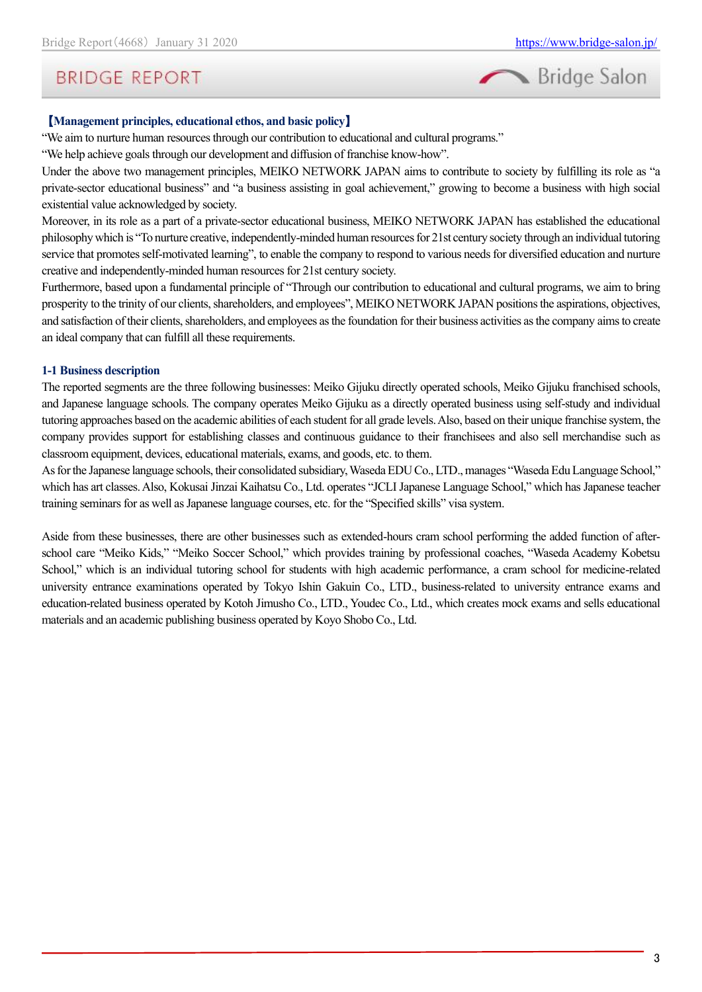

### 【**Management principles, educational ethos, and basic policy**】

"We aim to nurture human resources through our contribution to educational and cultural programs."

"We help achieve goals through our development and diffusion of franchise know-how".

Under the above two management principles, MEIKO NETWORK JAPAN aims to contribute to society by fulfilling its role as "a private-sector educational business" and "a business assisting in goal achievement," growing to become a business with high social existential value acknowledged by society.

Moreover, in its role as a part of a private-sector educational business, MEIKO NETWORK JAPAN has established the educational philosophy which is "To nurture creative, independently-minded human resources for 21st century society through an individual tutoring service that promotes self-motivated learning", to enable the company to respond to various needs for diversified education and nurture creative and independently-minded human resources for 21st century society.

Furthermore, based upon a fundamental principle of "Through our contribution to educational and cultural programs, we aim to bring prosperity to the trinity of our clients, shareholders, and employees", MEIKO NETWORK JAPAN positions the aspirations, objectives, and satisfaction of their clients, shareholders, and employees as the foundation for their business activities as the company aims to create an ideal company that can fulfill all these requirements.

### **1-1 Business description**

The reported segments are the three following businesses: Meiko Gijuku directly operated schools, Meiko Gijuku franchised schools, and Japanese language schools. The company operates Meiko Gijuku as a directly operated business using self-study and individual tutoring approaches based on the academic abilities of each student for all grade levels. Also, based on their unique franchise system, the company provides support for establishing classes and continuous guidance to their franchisees and also sell merchandise such as classroom equipment, devices, educational materials, exams, and goods, etc. to them.

As for the Japanese language schools, their consolidated subsidiary, Waseda EDU Co., LTD., manages "Waseda Edu Language School," which has art classes. Also, Kokusai Jinzai Kaihatsu Co., Ltd. operates "JCLI Japanese Language School," which has Japanese teacher training seminars for as well as Japanese language courses, etc. for the "Specified skills" visa system.

Aside from these businesses, there are other businesses such as extended-hours cram school performing the added function of afterschool care "Meiko Kids," "Meiko Soccer School," which provides training by professional coaches, "Waseda Academy Kobetsu School," which is an individual tutoring school for students with high academic performance, a cram school for medicine-related university entrance examinations operated by Tokyo Ishin Gakuin Co., LTD., business-related to university entrance exams and education-related business operated by Kotoh Jimusho Co., LTD., Youdec Co., Ltd., which creates mock exams and sells educational materials and an academic publishing business operated by Koyo Shobo Co., Ltd.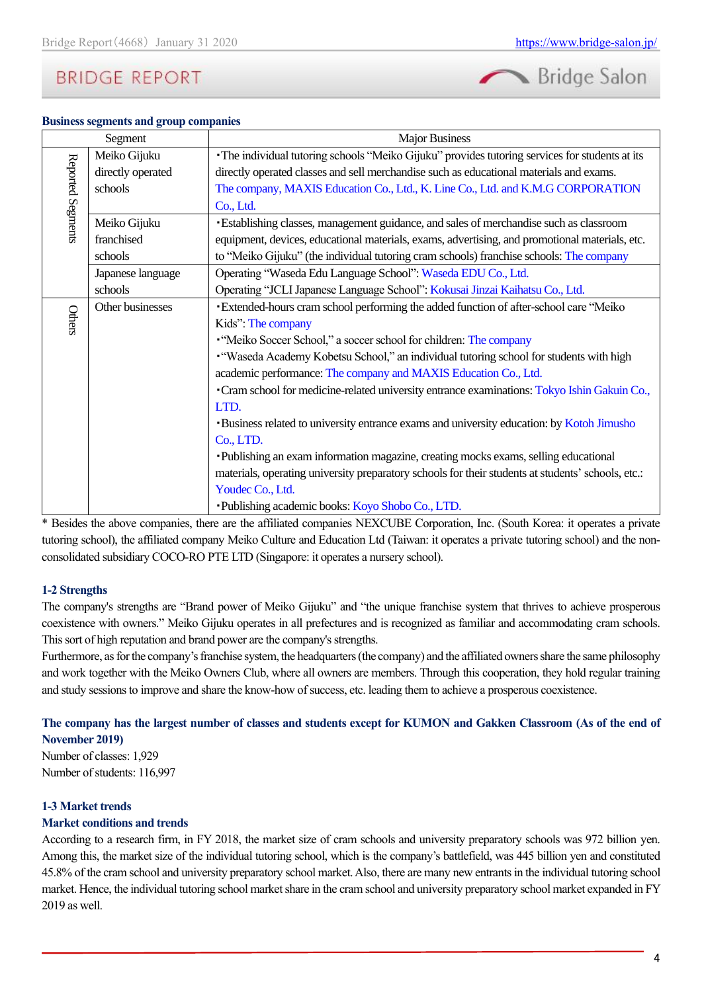# Bridge Salon

#### **Business segments and group companies**

|                   | Segment           | <b>Major Business</b>                                                                              |
|-------------------|-------------------|----------------------------------------------------------------------------------------------------|
|                   | Meiko Gijuku      | · The individual tutoring schools "Meiko Gijuku" provides tutoring services for students at its    |
|                   | directly operated | directly operated classes and sell merchandise such as educational materials and exams.            |
|                   | schools           | The company, MAXIS Education Co., Ltd., K. Line Co., Ltd. and K.M.G CORPORATION                    |
| Reported Segments |                   | Co., Ltd.                                                                                          |
|                   | Meiko Gijuku      | · Establishing classes, management guidance, and sales of merchandise such as classroom            |
|                   | franchised        | equipment, devices, educational materials, exams, advertising, and promotional materials, etc.     |
|                   | schools           | to "Meiko Gijuku" (the individual tutoring cram schools) franchise schools: The company            |
|                   | Japanese language | Operating "Waseda Edu Language School": Waseda EDU Co., Ltd.                                       |
|                   | schools           | Operating "JCLI Japanese Language School": Kokusai Jinzai Kaihatsu Co., Ltd.                       |
|                   | Other businesses  | • Extended-hours cram school performing the added function of after-school care "Meiko             |
| Others            |                   | Kids": The company                                                                                 |
|                   |                   | "Meiko Soccer School," a soccer school for children: The company                                   |
|                   |                   | . "Waseda Academy Kobetsu School," an individual tutoring school for students with high            |
|                   |                   | academic performance: The company and MAXIS Education Co., Ltd.                                    |
|                   |                   | • Cram school for medicine-related university entrance examinations: Tokyo Ishin Gakuin Co.,       |
|                   |                   | LTD.                                                                                               |
|                   |                   | <b>·Business related to university entrance exams and university education: by Kotoh Jimusho</b>   |
|                   |                   | Co., LTD.                                                                                          |
|                   |                   | • Publishing an exam information magazine, creating mocks exams, selling educational               |
|                   |                   | materials, operating university preparatory schools for their students at students' schools, etc.: |
|                   |                   | Youdec Co., Ltd.                                                                                   |
|                   |                   | • Publishing academic books: Koyo Shobo Co., LTD.                                                  |

\* Besides the above companies, there are the affiliated companies NEXCUBE Corporation, Inc. (South Korea: it operates a private tutoring school), the affiliated company Meiko Culture and Education Ltd (Taiwan: it operates a private tutoring school) and the nonconsolidated subsidiary COCO-RO PTE LTD (Singapore: it operates a nursery school).

#### **1-2 Strengths**

The company's strengths are "Brand power of Meiko Gijuku" and "the unique franchise system that thrives to achieve prosperous coexistence with owners." Meiko Gijuku operates in all prefectures and is recognized as familiar and accommodating cram schools. This sort of high reputation and brand power are the company's strengths.

Furthermore, as for the company's franchise system, the headquarters (the company) and the affiliated owners share the same philosophy and work together with the Meiko Owners Club, where all owners are members. Through this cooperation, they hold regular training and study sessions to improve and share the know-how of success, etc. leading them to achieve a prosperous coexistence.

### **The company has the largest number of classes and students except for KUMON and Gakken Classroom (As of the end of November 2019)**

Number of classes: 1,929 Number of students: 116,997

### **1-3 Market trends**

#### **Market conditions and trends**

According to a research firm, in FY 2018, the market size of cram schools and university preparatory schools was 972 billion yen. Among this, the market size of the individual tutoring school, which is the company's battlefield, was 445 billion yen and constituted 45.8% of the cram school and university preparatory school market. Also, there are many new entrants in the individual tutoring school market. Hence, the individual tutoring school market share in the cram school and university preparatory school market expanded in FY 2019 as well.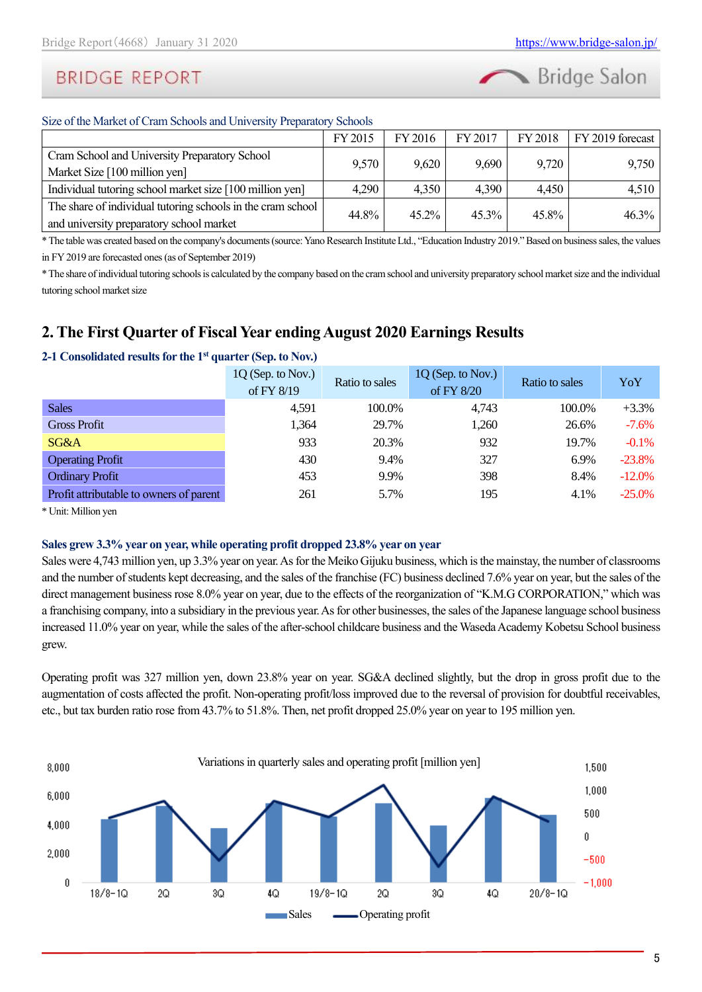

### Size of the Market of Cram Schools and University Preparatory Schools

|                                                             | FY 2015 | FY 2016 | FY 2017  | FY 2018 | FY 2019 forecast |  |
|-------------------------------------------------------------|---------|---------|----------|---------|------------------|--|
| Cram School and University Preparatory School               | 9,570   | 9,620   |          |         |                  |  |
| Market Size [100 million yen]                               |         |         | 9,690    | 9,720   | 9,750            |  |
| Individual tutoring school market size [100 million yen]    | 4,290   | 4,350   | 4,390    | 4,450   | 4,510            |  |
| The share of individual tutoring schools in the cram school |         |         |          |         |                  |  |
| and university preparatory school market                    | 44.8%   | 45.2%   | $45.3\%$ | 45.8%   | $46.3\%$         |  |

\*The table was created based on the company's documents (source: Yano Research Institute Ltd., "Education Industry 2019." Based on business sales, the values in FY 2019 are forecasted ones (as of September 2019)

\* The share of individual tutoring schools is calculated by the company based on the cram school and university preparatory school market size and the individual tutoring school market size

### <span id="page-4-0"></span>**2. The First Quarter of Fiscal Year ending August 2020 Earnings Results**

|                                         | $1Q$ (Sep. to Nov.)<br>of FY 8/19 | Ratio to sales | $1Q$ (Sep. to Nov.)<br>of FY 8/20 | Ratio to sales | YoY      |
|-----------------------------------------|-----------------------------------|----------------|-----------------------------------|----------------|----------|
| <b>Sales</b>                            | 4,591                             | 100.0%         | 4,743                             | 100.0%         | $+3.3\%$ |
| <b>Gross Profit</b>                     | 1,364                             | 29.7%          | 1,260                             | 26.6%          | $-7.6%$  |
| SG&A                                    | 933                               | 20.3%          | 932                               | 19.7%          | $-0.1%$  |
| <b>Operating Profit</b>                 | 430                               | 9.4%           | 327                               | 6.9%           | $-23.8%$ |
| <b>Ordinary Profit</b>                  | 453                               | 9.9%           | 398                               | 8.4%           | $-12.0%$ |
| Profit attributable to owners of parent | 261                               | 5.7%           | 195                               | 4.1%           | $-25.0%$ |

### **2-1 Consolidated results for the 1st quarter (Sep. to Nov.)**

\* Unit: Million yen

### **Sales grew 3.3% year on year, while operating profit dropped 23.8% year on year**

Sales were 4,743 million yen, up 3.3% year on year. As for the Meiko Gijuku business, which is the mainstay, the number of classrooms and the number of students kept decreasing, and the sales of the franchise (FC) business declined 7.6% year on year, but the sales of the direct management business rose 8.0% year on year, due to the effects of the reorganization of "K.M.G CORPORATION," which was a franchising company, into a subsidiary in the previous year. As for other businesses, the sales of the Japanese language school business increased 11.0% year on year, while the sales of the after-school childcare business and the Waseda Academy Kobetsu School business grew.

Operating profit was 327 million yen, down 23.8% year on year. SG&A declined slightly, but the drop in gross profit due to the augmentation of costs affected the profit. Non-operating profit/loss improved due to the reversal of provision for doubtful receivables, etc., but tax burden ratio rose from 43.7% to 51.8%. Then, net profit dropped 25.0% year on year to 195 million yen.

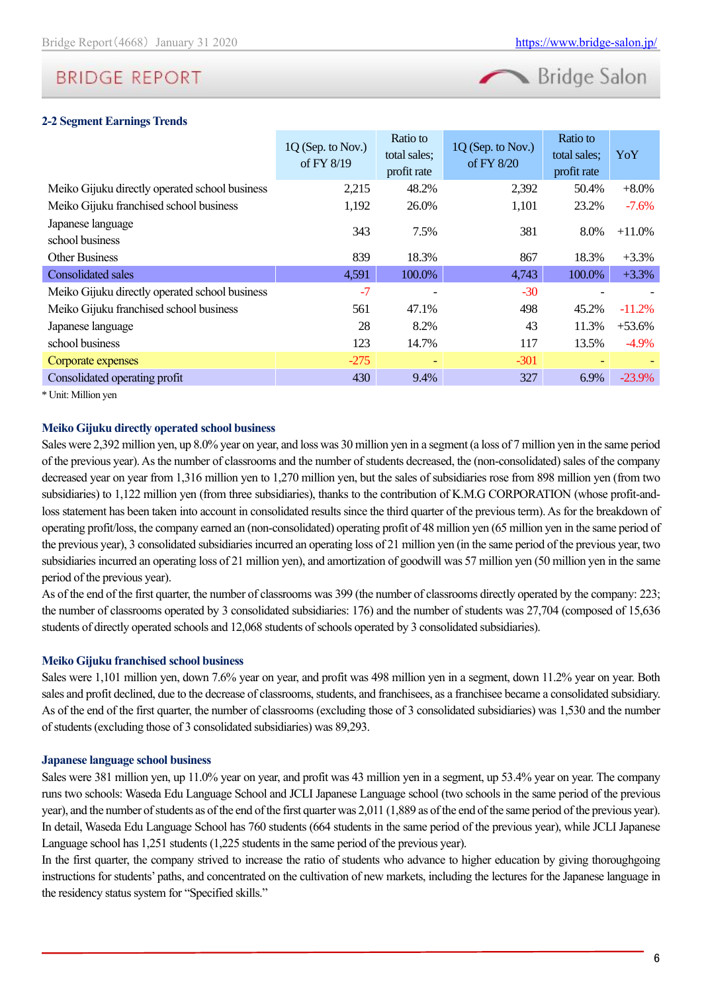

#### **2-2 Segment Earnings Trends**

|                                                | 1Q (Sep. to Nov.)<br>of FY 8/19 | Ratio to<br>total sales;<br>profit rate | 1Q (Sep. to Nov.)<br>of FY 8/20 | Ratio to<br>total sales;<br>profit rate | YoY      |
|------------------------------------------------|---------------------------------|-----------------------------------------|---------------------------------|-----------------------------------------|----------|
| Meiko Gijuku directly operated school business | 2,215                           | 48.2%                                   | 2,392                           | 50.4%                                   | $+8.0\%$ |
| Meiko Gijuku franchised school business        | 1,192                           | 26.0%                                   | 1,101                           | 23.2%                                   | $-7.6\%$ |
| Japanese language<br>school business           | 343                             | 7.5%                                    | 381                             | 8.0%                                    | $+11.0%$ |
| <b>Other Business</b>                          | 839                             | 18.3%                                   | 867                             | 18.3%                                   | $+3.3%$  |
| <b>Consolidated sales</b>                      | 4,591                           | 100.0%                                  | 4,743                           | 100.0%                                  | $+3.3%$  |
| Meiko Gijuku directly operated school business | $-7$                            |                                         | $-30$                           |                                         |          |
| Meiko Gijuku franchised school business        | 561                             | 47.1%                                   | 498                             | 45.2%                                   | $-11.2%$ |
| Japanese language                              | 28                              | 8.2%                                    | 43                              | 11.3%                                   | $+53.6%$ |
| school business                                | 123                             | 14.7%                                   | 117                             | 13.5%                                   | $-4.9\%$ |
| Corporate expenses                             | $-275$                          |                                         | $-301$                          |                                         |          |
| Consolidated operating profit                  | 430                             | 9.4%                                    | 327                             | 6.9%                                    | $-23.9%$ |

\* Unit: Million yen

#### **Meiko Gijuku directly operated school business**

Sales were 2,392 million yen, up 8.0% year on year, and loss was 30 million yen in a segment(a loss of 7 million yen in the same period of the previous year). As the number of classrooms and the number of students decreased, the (non-consolidated) sales of the company decreased year on year from 1,316 million yen to 1,270 million yen, but the sales of subsidiaries rose from 898 million yen (from two subsidiaries) to 1,122 million yen (from three subsidiaries), thanks to the contribution of K.M.G CORPORATION (whose profit-andloss statement has been taken into account in consolidated results since the third quarter of the previous term). As for the breakdown of operating profit/loss, the company earned an (non-consolidated) operating profit of 48 million yen (65 million yen in the same period of the previous year), 3 consolidated subsidiaries incurred an operating loss of 21 million yen (in the same period of the previous year, two subsidiaries incurred an operating loss of 21 million yen), and amortization of goodwill was 57 million yen (50 million yen in the same period of the previous year).

As of the end of the first quarter, the number of classrooms was 399 (the number of classrooms directly operated by the company: 223; the number of classrooms operated by 3 consolidated subsidiaries: 176) and the number of students was 27,704 (composed of 15,636 students of directly operated schools and 12,068 students of schools operated by 3 consolidated subsidiaries).

#### **Meiko Gijuku franchised school business**

Sales were 1,101 million yen, down 7.6% year on year, and profit was 498 million yen in a segment, down 11.2% year on year. Both sales and profit declined, due to the decrease of classrooms, students, and franchisees, as a franchisee became a consolidated subsidiary. As of the end of the first quarter, the number of classrooms (excluding those of 3 consolidated subsidiaries) was 1,530 and the number of students (excluding those of 3 consolidated subsidiaries) was 89,293.

#### **Japanese language school business**

Sales were 381 million yen, up 11.0% year on year, and profit was 43 million yen in a segment, up 53.4% year on year. The company runs two schools: Waseda Edu Language School and JCLI Japanese Language school (two schools in the same period of the previous year), and the number of students as of the end of the first quarter was 2,011 (1,889 as of the end of the same period of the previous year). In detail, Waseda Edu Language School has 760 students (664 students in the same period of the previous year), while JCLI Japanese Language school has 1,251 students (1,225 students in the same period of the previous year).

In the first quarter, the company strived to increase the ratio of students who advance to higher education by giving thoroughgoing instructions for students' paths, and concentrated on the cultivation of new markets, including the lectures for the Japanese language in the residency status system for "Specified skills."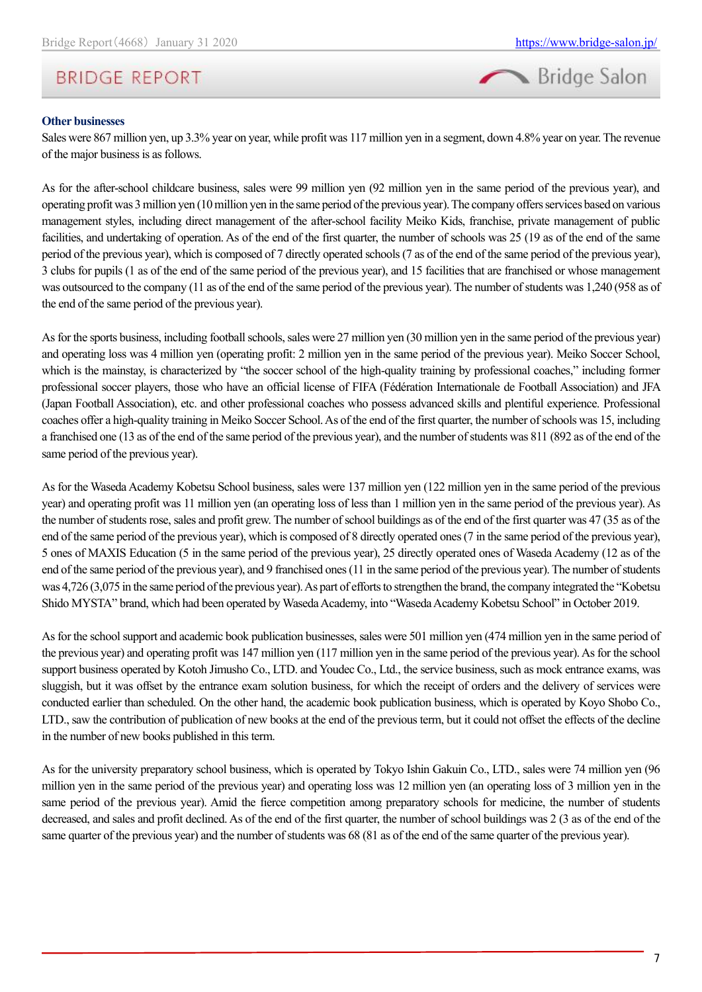

#### **Other businesses**

Sales were 867 million yen, up 3.3% year on year, while profit was 117 million yen in a segment, down 4.8% year on year. The revenue of the major business is as follows.

As for the after-school childcare business, sales were 99 million yen (92 million yen in the same period of the previous year), and operating profit was 3 million yen (10 million yen in the same period of the previous year). The company offers services based on various management styles, including direct management of the after-school facility Meiko Kids, franchise, private management of public facilities, and undertaking of operation. As of the end of the first quarter, the number of schools was 25 (19 as of the end of the same period of the previous year), which is composed of 7 directly operated schools (7 as of the end of the same period of the previous year), 3 clubs for pupils (1 as of the end of the same period of the previous year), and 15 facilities that are franchised or whose management was outsourced to the company (11 as of the end of the same period of the previous year). The number of students was 1,240 (958 as of the end of the same period of the previous year).

As for the sports business, including football schools, sales were 27 million yen (30 million yen in the same period of the previous year) and operating loss was 4 million yen (operating profit: 2 million yen in the same period of the previous year). Meiko Soccer School, which is the mainstay, is characterized by "the soccer school of the high-quality training by professional coaches," including former professional soccer players, those who have an official license of FIFA (Fédération Internationale de Football Association) and JFA (Japan Football Association), etc. and other professional coaches who possess advanced skills and plentiful experience. Professional coaches offer a high-quality training in Meiko Soccer School.As of the end of the first quarter, the number of schools was 15, including a franchised one (13 as of the end of the same period of the previous year), and the number of students was 811 (892 as of the end of the same period of the previous year).

As for the Waseda Academy Kobetsu School business, sales were 137 million yen (122 million yen in the same period of the previous year) and operating profit was 11 million yen (an operating loss of less than 1 million yen in the same period of the previous year). As the number of students rose, sales and profit grew. The number of school buildings as of the end of the first quarter was 47 (35 as of the end of the same period of the previous year), which is composed of 8 directly operated ones (7 in the same period of the previous year), 5 ones of MAXIS Education (5 in the same period of the previous year), 25 directly operated ones of Waseda Academy (12 as of the end of the same period of the previous year), and 9 franchised ones (11 in the same period of the previous year). The number of students was 4,726 (3,075 in the same period of the previous year). As part of efforts to strengthen the brand, the company integrated the "Kobetsu Shido MYSTA" brand, which had been operated by Waseda Academy, into "Waseda Academy Kobetsu School" in October 2019.

As for the school support and academic book publication businesses, sales were 501 million yen (474 million yen in the same period of the previous year) and operating profit was 147 million yen (117 million yen in the same period of the previous year). As for the school support business operated by Kotoh Jimusho Co., LTD. and Youdec Co., Ltd., the service business, such as mock entrance exams, was sluggish, but it was offset by the entrance exam solution business, for which the receipt of orders and the delivery of services were conducted earlier than scheduled. On the other hand, the academic book publication business, which is operated by Koyo Shobo Co., LTD., saw the contribution of publication of new books at the end of the previous term, but it could not offset the effects of the decline in the number of new books published in this term.

As for the university preparatory school business, which is operated by Tokyo Ishin Gakuin Co., LTD., sales were 74 million yen (96 million yen in the same period of the previous year) and operating loss was 12 million yen (an operating loss of 3 million yen in the same period of the previous year). Amid the fierce competition among preparatory schools for medicine, the number of students decreased, and sales and profit declined. As of the end of the first quarter, the number of school buildings was 2 (3 as of the end of the same quarter of the previous year) and the number of students was 68 (81 as of the end of the same quarter of the previous year).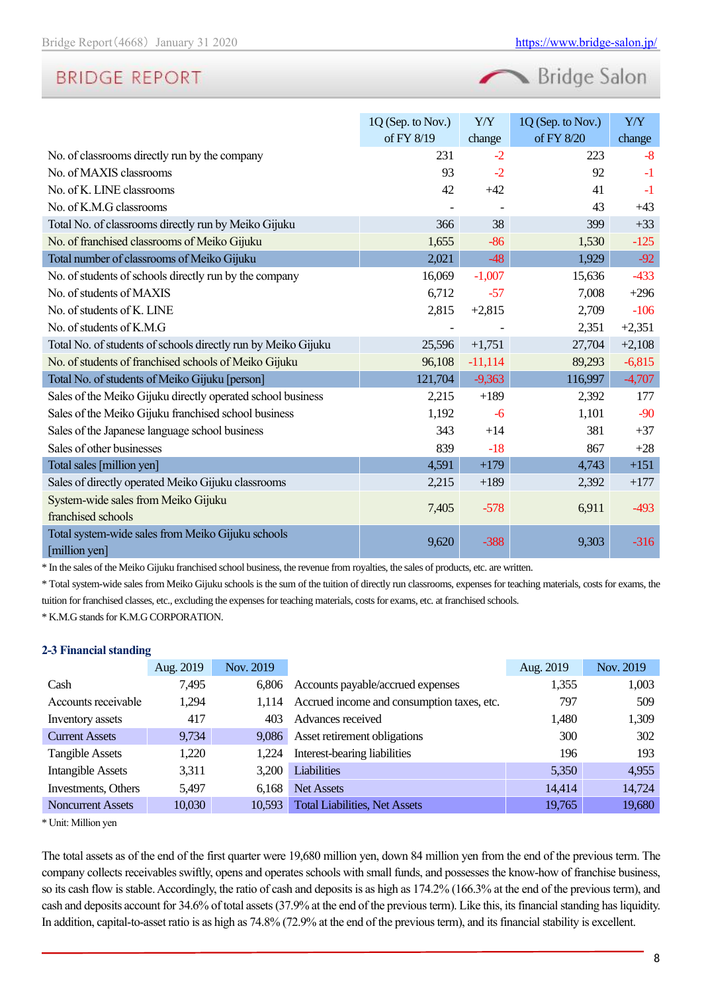Bridge Salon

|                                                                    | 1Q (Sep. to Nov.) | Y/Y       | 1Q (Sep. to Nov.) | Y/Y      |
|--------------------------------------------------------------------|-------------------|-----------|-------------------|----------|
|                                                                    | of FY 8/19        | change    | of FY 8/20        | change   |
| No. of classrooms directly run by the company                      | 231               | $-2$      | 223               | $-8$     |
| No. of MAXIS classrooms                                            | 93                | $-2$      | 92                | $-1$     |
| No. of K. LINE classrooms                                          | 42                | $+42$     | 41                | $-1$     |
| No. of K.M.G classrooms                                            |                   |           | 43                | $+43$    |
| Total No. of classrooms directly run by Meiko Gijuku               | 366               | 38        | 399               | $+33$    |
| No. of franchised classrooms of Meiko Gijuku                       | 1,655             | $-86$     | 1,530             | $-125$   |
| Total number of classrooms of Meiko Gijuku                         | 2,021             | $-48$     | 1,929             | $-92$    |
| No. of students of schools directly run by the company             | 16,069            | $-1,007$  | 15,636            | $-433$   |
| No. of students of MAXIS                                           | 6,712             | $-57$     | 7,008             | $+296$   |
| No. of students of K. LINE                                         | 2,815             | $+2,815$  | 2,709             | $-106$   |
| No. of students of K.M.G                                           |                   |           | 2,351             | $+2,351$ |
| Total No. of students of schools directly run by Meiko Gijuku      | 25,596            | $+1,751$  | 27,704            | $+2,108$ |
| No. of students of franchised schools of Meiko Gijuku              | 96,108            | $-11,114$ | 89,293            | $-6,815$ |
| Total No. of students of Meiko Gijuku [person]                     | 121,704           | $-9,363$  | 116,997           | $-4,707$ |
| Sales of the Meiko Gijuku directly operated school business        | 2,215             | $+189$    | 2,392             | 177      |
| Sales of the Meiko Gijuku franchised school business               | 1,192             | $-6$      | 1,101             | $-90$    |
| Sales of the Japanese language school business                     | 343               | $+14$     | 381               | $+37$    |
| Sales of other businesses                                          | 839               | $-18$     | 867               | $+28$    |
| Total sales [million yen]                                          | 4,591             | $+179$    | 4,743             | $+151$   |
| Sales of directly operated Meiko Gijuku classrooms                 | 2,215             | $+189$    | 2,392             | $+177$   |
| System-wide sales from Meiko Gijuku                                | 7,405             | $-578$    | 6,911             | $-493$   |
| franchised schools                                                 |                   |           |                   |          |
| Total system-wide sales from Meiko Gijuku schools<br>[million yen] | 9,620             | $-388$    | 9,303             | $-316$   |

\* In the sales of the Meiko Gijuku franchised school business, the revenue from royalties, the sales of products, etc. are written.

\* Total system-wide sales from Meiko Gijuku schools is the sum of the tuition of directly run classrooms, expenses for teaching materials, costs for exams, the tuition for franchised classes, etc., excluding the expenses for teaching materials, costs for exams, etc. at franchised schools.

\* K.M.G stands for K.M.G CORPORATION.

### **2-3 Financial standing**

|                          | Aug. 2019 | Nov. 2019 |                                            | Aug. 2019 | Nov. 2019 |
|--------------------------|-----------|-----------|--------------------------------------------|-----------|-----------|
| Cash                     | 7,495     | 6.806     | Accounts payable/accrued expenses          | 1,355     | 1,003     |
| Accounts receivable      | 1.294     | 1.114     | Accrued income and consumption taxes, etc. | 797       | 509       |
| Inventory assets         | 417       | 403       | Advances received                          | 1,480     | 1,309     |
| <b>Current Assets</b>    | 9,734     | 9.086     | Asset retirement obligations               | 300       | 302       |
| <b>Tangible Assets</b>   | 1,220     | 1.224     | Interest-bearing liabilities               | 196       | 193       |
| <b>Intangible Assets</b> | 3,311     | 3.200     | <b>Liabilities</b>                         | 5,350     | 4,955     |
| Investments, Others      | 5,497     | 6.168     | <b>Net Assets</b>                          | 14,414    | 14,724    |
| <b>Noncurrent Assets</b> | 10,030    | 10,593    | <b>Total Liabilities, Net Assets</b>       | 19,765    | 19,680    |

\* Unit: Million yen

The total assets as of the end of the first quarter were 19,680 million yen, down 84 million yen from the end of the previous term. The company collects receivables swiftly, opens and operates schools with small funds, and possesses the know-how of franchise business, so its cash flow is stable. Accordingly, the ratio of cash and deposits is as high as 174.2% (166.3% at the end of the previous term), and cash and deposits account for 34.6% of total assets (37.9% at the end of the previous term). Like this, its financial standing has liquidity. In addition, capital-to-asset ratio is as high as 74.8% (72.9% at the end of the previous term), and its financial stability is excellent.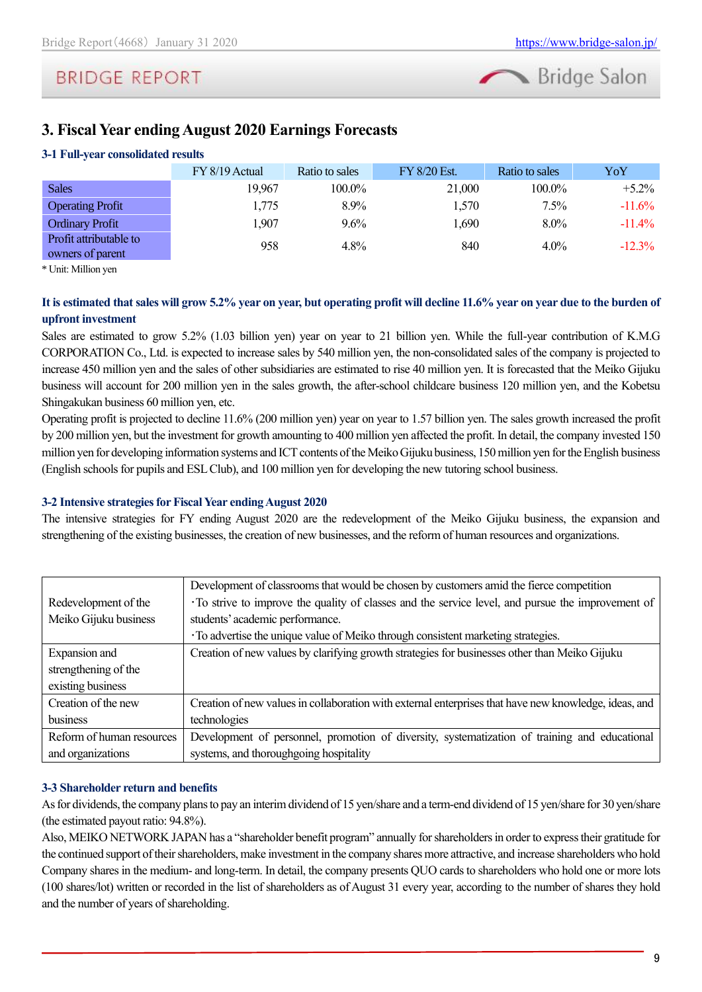

### <span id="page-8-0"></span>**3. Fiscal Year ending August 2020 Earnings Forecasts**

### **3-1 Full-year consolidated results**

|                                            | $FY 8/19$ Actual | Ratio to sales | FY 8/20 Est. | Ratio to sales | YoY       |
|--------------------------------------------|------------------|----------------|--------------|----------------|-----------|
| <b>Sales</b>                               | 19,967           | 100.0%         | 21,000       | 100.0%         | $+5.2\%$  |
| <b>Operating Profit</b>                    | 1,775            | 8.9%           | 1,570        | 7.5%           | $-11.6%$  |
| <b>Ordinary Profit</b>                     | 1,907            | 9.6%           | 1,690        | $8.0\%$        | $-11.4\%$ |
| Profit attributable to<br>owners of parent | 958              | 4.8%           | 840          | $4.0\%$        | $-12.3\%$ |

\* Unit: Million yen

### **It is estimated that sales will grow 5.2% year on year, but operating profit will decline 11.6% year on year due to the burden of upfront investment**

Sales are estimated to grow 5.2% (1.03 billion yen) year on year to 21 billion yen. While the full-year contribution of K.M.G CORPORATION Co., Ltd. is expected to increase sales by 540 million yen, the non-consolidated sales of the company is projected to increase 450 million yen and the sales of other subsidiaries are estimated to rise 40 million yen. It is forecasted that the Meiko Gijuku business will account for 200 million yen in the sales growth, the after-school childcare business 120 million yen, and the Kobetsu Shingakukan business 60 million yen, etc.

Operating profit is projected to decline 11.6% (200 million yen) year on year to 1.57 billion yen. The sales growth increased the profit by 200 million yen, but the investment for growth amounting to 400 million yen affected the profit. In detail, the company invested 150 million yen for developing information systems and ICT contents of the Meiko Gijuku business, 150 million yen for the English business (English schools for pupils and ESL Club), and 100 million yen for developing the new tutoring school business.

### **3-2 Intensive strategies for Fiscal Year ending August 2020**

The intensive strategies for FY ending August 2020 are the redevelopment of the Meiko Gijuku business, the expansion and strengthening of the existing businesses, the creation of new businesses, and the reform of human resources and organizations.

|                           | Development of classrooms that would be chosen by customers amid the fierce competition               |
|---------------------------|-------------------------------------------------------------------------------------------------------|
| Redevelopment of the      | To strive to improve the quality of classes and the service level, and pursue the improvement of      |
| Meiko Gijuku business     | students' academic performance.                                                                       |
|                           | · To advertise the unique value of Meiko through consistent marketing strategies.                     |
| Expansion and             | Creation of new values by clarifying growth strategies for businesses other than Meiko Gijuku         |
| strengthening of the      |                                                                                                       |
| existing business         |                                                                                                       |
| Creation of the new       | Creation of new values in collaboration with external enterprises that have new knowledge, ideas, and |
| business                  | technologies                                                                                          |
| Reform of human resources | Development of personnel, promotion of diversity, systematization of training and educational         |
| and organizations         | systems, and thoroughgoing hospitality                                                                |

### **3-3 Shareholder return and benefits**

As for dividends, the company plans to pay an interim dividend of 15 yen/share and a term-end dividend of 15 yen/share for 30 yen/share (the estimated payout ratio: 94.8%).

Also, MEIKO NETWORK JAPAN has a "shareholder benefit program" annually for shareholders in order to express their gratitude for the continued support of their shareholders, make investment in the company shares more attractive, and increase shareholders who hold Company shares in the medium- and long-term. In detail, the company presents QUO cards to shareholders who hold one or more lots (100 shares/lot) written or recorded in the list of shareholders as of August 31 every year, according to the number of shares they hold and the number of years of shareholding.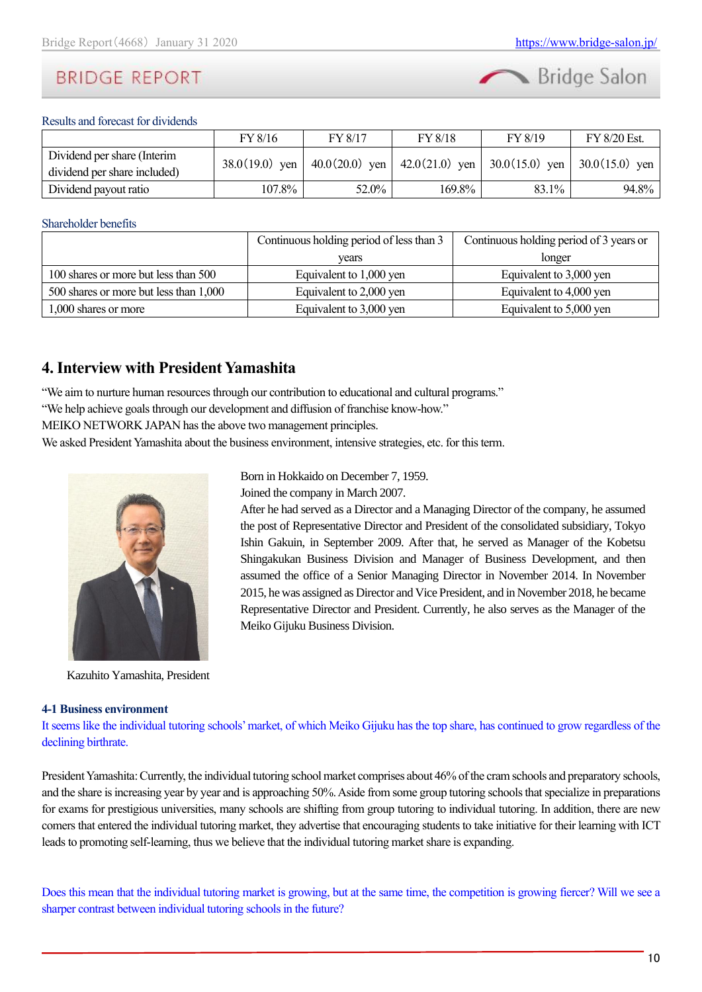

Results and forecast for dividends

|                                                             | FY 8/16          | FY 8/17 | FY 8/18 | FY 8/19                                                | FY 8/20 Est.     |
|-------------------------------------------------------------|------------------|---------|---------|--------------------------------------------------------|------------------|
| Dividend per share (Interim<br>dividend per share included) | $38.0(19.0)$ yen |         |         | $40.0(20.0)$ yen   $42.0(21.0)$ yen   $30.0(15.0)$ yen | $30.0(15.0)$ yen |
| Dividend payout ratio                                       | 107.8%           | 52.0%   | 169.8%  | 83.1%                                                  | 94.8%            |

#### Shareholder benefits

|                                        | Continuous holding period of less than 3 | Continuous holding period of 3 years or |  |  |
|----------------------------------------|------------------------------------------|-----------------------------------------|--|--|
|                                        | years                                    | longer                                  |  |  |
| 100 shares or more but less than 500   | Equivalent to 1,000 yen                  | Equivalent to 3,000 yen                 |  |  |
| 500 shares or more but less than 1,000 | Equivalent to 2,000 yen                  | Equivalent to 4,000 yen                 |  |  |
| 1,000 shares or more                   | Equivalent to 3,000 yen                  | Equivalent to 5,000 yen                 |  |  |

Born in Hokkaido on December 7, 1959. Joined the company in March 2007.

Meiko Gijuku Business Division.

After he had served as a Director and a Managing Director of the company, he assumed the post of Representative Director and President of the consolidated subsidiary, Tokyo Ishin Gakuin, in September 2009. After that, he served as Manager of the Kobetsu Shingakukan Business Division and Manager of Business Development, and then assumed the office of a Senior Managing Director in November 2014. In November 2015, he was assigned as Director and Vice President, and in November 2018, he became Representative Director and President. Currently, he also serves as the Manager of the

### <span id="page-9-0"></span>**4. Interview with President Yamashita**

"We aim to nurture human resources through our contribution to educational and cultural programs." "We help achieve goals through our development and diffusion of franchise know-how."

MEIKO NETWORK JAPAN has the above two management principles.

We asked President Yamashita about the business environment, intensive strategies, etc. for this term.



Kazuhito Yamashita, President

### **4-1 Business environment**

It seems like the individual tutoring schools' market, of which Meiko Gijuku has the top share, has continued to grow regardless of the declining birthrate.

President Yamashita: Currently, the individual tutoring school market comprises about 46% of the cram schools and preparatory schools, and the share is increasing year by year and is approaching 50%. Aside from some group tutoring schools that specialize in preparations for exams for prestigious universities, many schools are shifting from group tutoring to individual tutoring. In addition, there are new comersthat entered the individual tutoring market, they advertise that encouraging students to take initiative for their learning with ICT leads to promoting self-learning, thus we believe that the individual tutoring market share is expanding.

Does this mean that the individual tutoring market is growing, but at the same time, the competition is growing fiercer? Will we see a sharper contrast between individual tutoring schools in the future?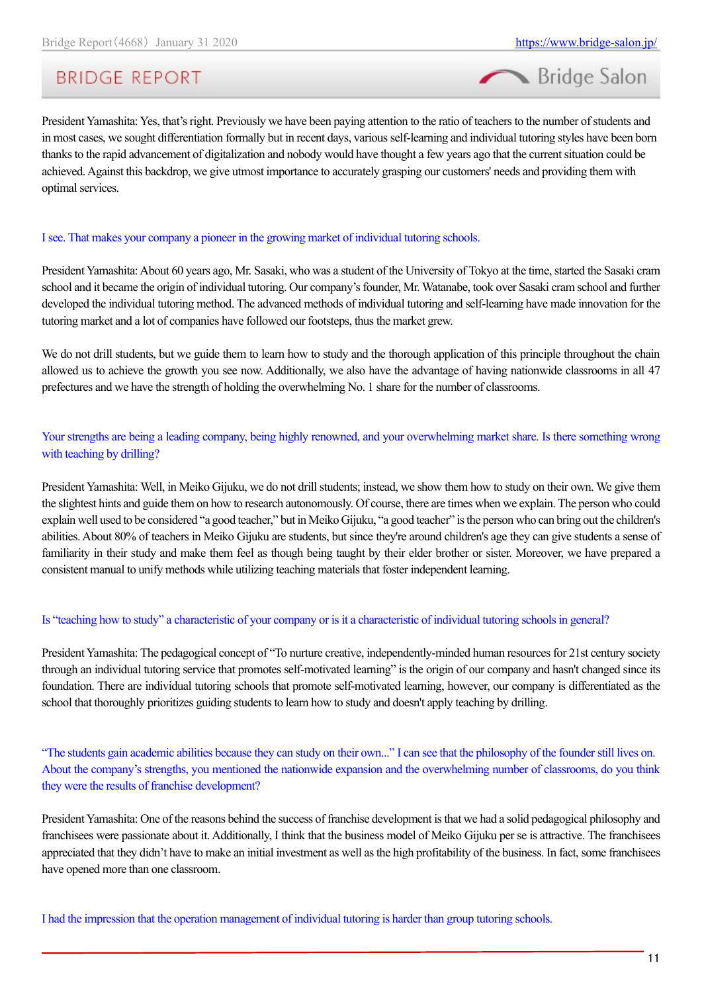

President Yamashita: Yes, that's right. Previously we have been paying attention to the ratio of teachers to the number of students and in most cases, we sought differentiation formally but in recent days, various self-learning and individual tutoring styles have been born thanks to the rapid advancement of digitalization and nobody would have thought a few years ago that the current situation could be achieved. Against this backdrop, we give utmost importance to accurately grasping our customers' needs and providing them with optimal services.

### I see. That makes your company a pioneer in the growing market of individual tutoring schools.

President Yamashita: About 60 years ago, Mr. Sasaki, who was a student of the University of Tokyo at the time, started the Sasaki cram school and it became the origin of individual tutoring. Our company's founder, Mr. Watanabe, took over Sasaki cram school and further developed the individual tutoring method. The advanced methods of individual tutoring and self-learning have made innovation for the tutoring market and a lot of companies have followed our footsteps, thus the market grew.

We do not drill students, but we guide them to learn how to study and the thorough application of this principle throughout the chain allowed us to achieve the growth you see now. Additionally, we also have the advantage of having nationwide classrooms in all 47 prefectures and we have the strength of holding the overwhelming No. 1 share for the number of classrooms.

Your strengths are being a leading company, being highly renowned, and your overwhelming market share. Is there something wrong with teaching by drilling?

President Yamashita: Well, in Meiko Gijuku, we do not drill students; instead, we show them how to study on their own. We give them the slightest hints and guide them on how to research autonomously. Of course, there are times when we explain. The person who could explain well used to be considered "a good teacher," but in Meiko Gijuku, "a good teacher" is the person who can bring out the children's abilities. About 80% of teachers in Meiko Gijuku are students, but since they're around children's age they can give students a sense of familiarity in their study and make them feel as though being taught by their elder brother or sister. Moreover, we have prepared a consistent manual to unify methods while utilizing teaching materials that foster independent learning.

### Is "teaching how to study" a characteristic of your company or is it a characteristic of individual tutoring schools in general?

President Yamashita: The pedagogical concept of "To nurture creative, independently-minded human resources for 21st century society through an individual tutoring service that promotes self-motivated learning" is the origin of our company and hasn't changed since its foundation. There are individual tutoring schools that promote self-motivated learning, however, our company is differentiated as the school that thoroughly prioritizes guiding students to learn how to study and doesn't apply teaching by drilling.

"The students gain academic abilities because they can study on their own..." I can see that the philosophy of the founder still lives on. About the company's strengths, you mentioned the nationwide expansion and the overwhelming number of classrooms, do you think they were the results of franchise development?

President Yamashita: One of the reasons behind the success of franchise development is that we had a solid pedagogical philosophy and franchisees were passionate about it. Additionally, I think that the business model of Meiko Gijuku per se is attractive. The franchisees appreciated that they didn't have to make an initial investment as well as the high profitability of the business. In fact, some franchisees have opened more than one classroom.

I had the impression that the operation management of individual tutoring is harder than group tutoring schools.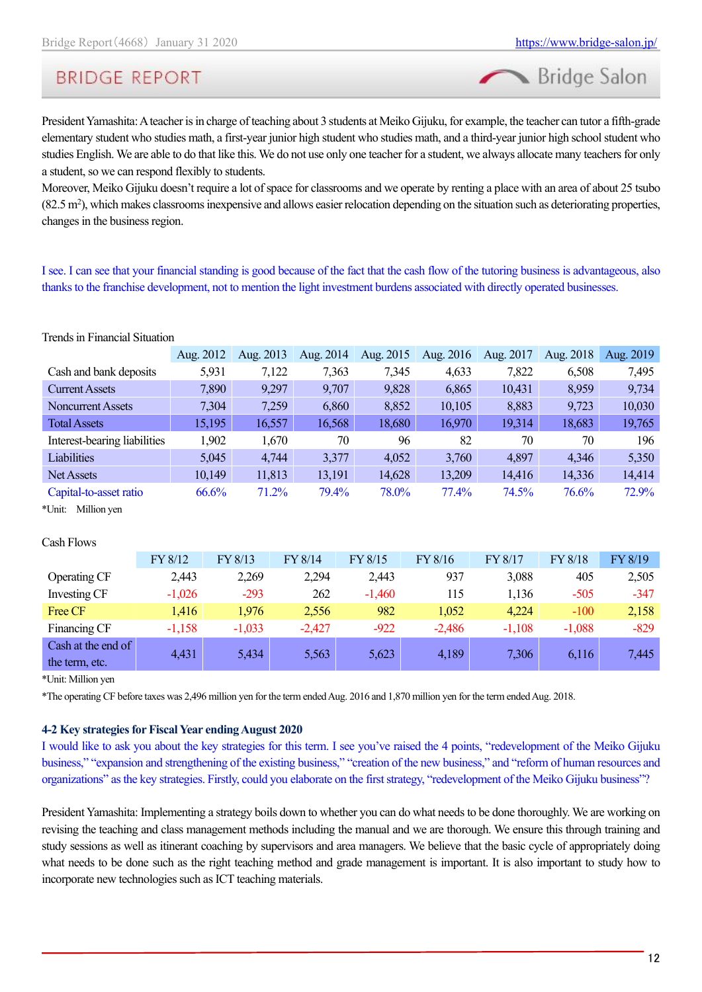Bridge Salon

# **BRIDGE REPORT**

President Yamashita: A teacher is in charge of teaching about 3 students at Meiko Gijuku, for example, the teacher can tutor a fifth-grade elementary student who studies math, a first-year junior high student who studies math, and a third-year junior high school student who studies English. We are able to do that like this. We do not use only one teacher for a student, we always allocate many teachers for only a student, so we can respond flexibly to students.

Moreover, Meiko Gijuku doesn't require a lot of space for classrooms and we operate by renting a place with an area of about 25 tsubo  $(82.5 \text{ m}^2)$ , which makes classrooms inexpensive and allows easier relocation depending on the situation such as deteriorating properties, changes in the business region.

I see. I can see that your financial standing is good because of the fact that the cash flow of the tutoring business is advantageous, also thanks to the franchise development, not to mention the light investment burdens associated with directly operated businesses.

|                              | Aug. 2012 | Aug. 2013 | Aug. 2014 | Aug. 2015 | Aug. 2016 | Aug. 2017 | Aug. 2018 | Aug. 2019 |
|------------------------------|-----------|-----------|-----------|-----------|-----------|-----------|-----------|-----------|
| Cash and bank deposits       | 5,931     | 7,122     | 7,363     | 7,345     | 4,633     | 7,822     | 6,508     | 7,495     |
| <b>Current Assets</b>        | 7,890     | 9,297     | 9,707     | 9,828     | 6,865     | 10,431    | 8,959     | 9,734     |
| <b>Noncurrent Assets</b>     | 7,304     | 7,259     | 6,860     | 8,852     | 10,105    | 8,883     | 9,723     | 10,030    |
| <b>Total Assets</b>          | 15,195    | 16,557    | 16,568    | 18,680    | 16,970    | 19,314    | 18,683    | 19,765    |
| Interest-bearing liabilities | 1,902     | 1,670     | 70        | 96        | 82        | 70        | 70        | 196       |
| Liabilities                  | 5,045     | 4,744     | 3,377     | 4,052     | 3,760     | 4,897     | 4,346     | 5,350     |
| Net Assets                   | 10,149    | 11,813    | 13,191    | 14,628    | 13,209    | 14,416    | 14,336    | 14,414    |
| Capital-to-asset ratio       | 66.6%     | 71.2%     | 79.4%     | 78.0%     | 77.4%     | 74.5%     | 76.6%     | 72.9%     |
|                              |           |           |           |           |           |           |           |           |

\*Unit: Million yen

Trends in Financial Situation

#### Cash Flows

|                    | FY 8/12  | FY 8/13  | FY 8/14  | FY 8/15  | FY 8/16  | FY 8/17  | FY 8/18  | FY 8/19 |
|--------------------|----------|----------|----------|----------|----------|----------|----------|---------|
| Operating CF       | 2,443    | 2,269    | 2,294    | 2,443    | 937      | 3,088    | 405      | 2,505   |
| Investing CF       | $-1,026$ | $-293$   | 262      | $-1,460$ | 115      | 1,136    | $-505$   | $-347$  |
| Free CF            | 1,416    | 1,976    | 2,556    | 982      | 1,052    | 4,224    | $-100$   | 2,158   |
| Financing CF       | $-1,158$ | $-1,033$ | $-2,427$ | $-922$   | $-2,486$ | $-1,108$ | $-1,088$ | $-829$  |
| Cash at the end of | 4,431    | 5,434    | 5,563    | 5,623    | 4,189    | 7,306    | 6,116    | 7,445   |
| the term, etc.     |          |          |          |          |          |          |          |         |

\*Unit: Million yen

\*The operating CF before taxes was 2,496 million yen for the term ended Aug. 2016 and 1,870 million yen for the term ended Aug. 2018.

### **4-2 Key strategies for Fiscal Year ending August 2020**

I would like to ask you about the key strategies for this term. I see you've raised the 4 points, "redevelopment of the Meiko Gijuku business," "expansion and strengthening of the existing business," "creation of the new business," and "reform of human resources and organizations" as the key strategies. Firstly, could you elaborate on the first strategy, "redevelopment of the Meiko Gijuku business"?

President Yamashita: Implementing a strategy boils down to whether you can do what needs to be done thoroughly. We are working on revising the teaching and class management methods including the manual and we are thorough. We ensure this through training and study sessions as well as itinerant coaching by supervisors and area managers. We believe that the basic cycle of appropriately doing what needs to be done such as the right teaching method and grade management is important. It is also important to study how to incorporate new technologies such as ICT teaching materials.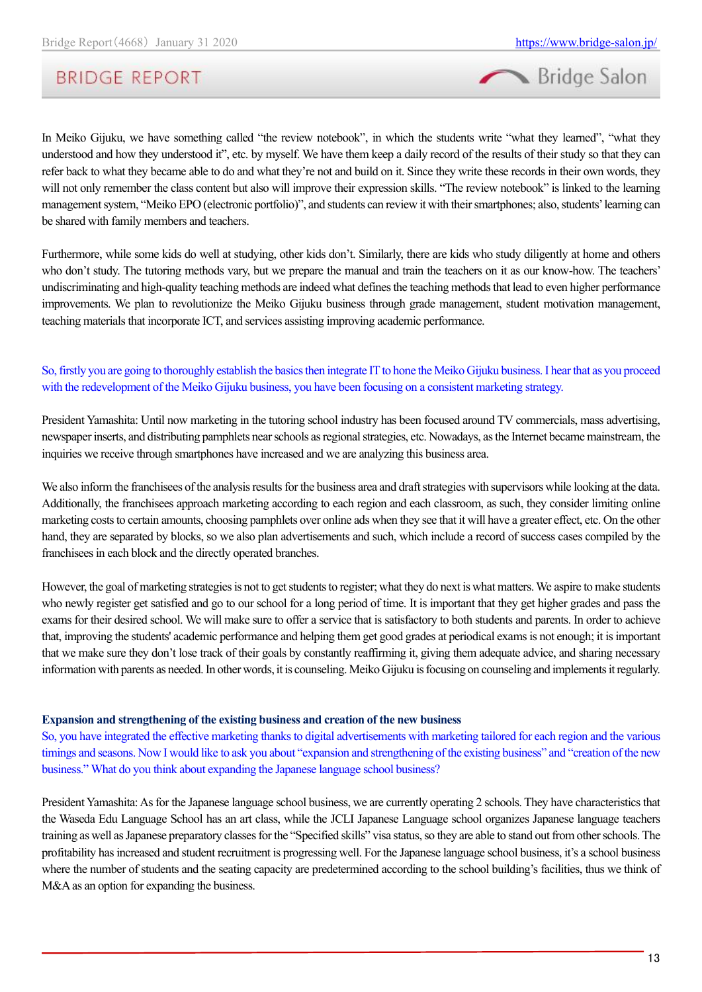

In Meiko Gijuku, we have something called "the review notebook", in which the students write "what they learned", "what they understood and how they understood it", etc. by myself. We have them keep a daily record of the results of their study so that they can refer back to what they became able to do and what they're not and build on it. Since they write these records in their own words, they will not only remember the class content but also will improve their expression skills. "The review notebook" is linked to the learning management system, "Meiko EPO (electronic portfolio)", and students can review it with their smartphones; also, students' learning can be shared with family members and teachers.

Furthermore, while some kids do well at studying, other kids don't. Similarly, there are kids who study diligently at home and others who don't study. The tutoring methods vary, but we prepare the manual and train the teachers on it as our know-how. The teachers' undiscriminating and high-quality teaching methods are indeed what defines the teaching methods that lead to even higher performance improvements. We plan to revolutionize the Meiko Gijuku business through grade management, student motivation management, teaching materials that incorporate ICT, and services assisting improving academic performance.

### So, firstly you are going to thoroughly establish the basics then integrate IT to hone the Meiko Gijuku business. I hear that as you proceed with the redevelopment of the Meiko Gijuku business, you have been focusing on a consistent marketing strategy.

President Yamashita: Until now marketing in the tutoring school industry has been focused around TV commercials, mass advertising, newspaper inserts, and distributing pamphlets near schools as regional strategies, etc. Nowadays, as the Internet became mainstream, the inquiries we receive through smartphones have increased and we are analyzing this business area.

We also inform the franchisees of the analysis results for the business area and draft strategies with supervisors while looking at the data. Additionally, the franchisees approach marketing according to each region and each classroom, as such, they consider limiting online marketing costs to certain amounts, choosing pamphlets over online ads when they see that it will have a greater effect, etc. On the other hand, they are separated by blocks, so we also plan advertisements and such, which include a record of success cases compiled by the franchisees in each block and the directly operated branches.

However, the goal of marketing strategies is not to get students to register; what they do next is what matters. We aspire to make students who newly register get satisfied and go to our school for a long period of time. It is important that they get higher grades and pass the exams for their desired school. We will make sure to offer a service that is satisfactory to both students and parents. In order to achieve that, improving the students' academic performance and helping them get good grades at periodical exams is not enough; it is important that we make sure they don't lose track of their goals by constantly reaffirming it, giving them adequate advice, and sharing necessary information with parents as needed. In other words, it is counseling. Meiko Gijuku is focusing on counseling and implements it regularly.

### **Expansion and strengthening of the existing business and creation of the new business**

So, you have integrated the effective marketing thanks to digital advertisements with marketing tailored for each region and the various timings and seasons. Now I would like to ask you about "expansion and strengthening of the existing business" and "creation of the new business." What do you think about expanding the Japanese language school business?

President Yamashita: As for the Japanese language school business, we are currently operating 2 schools. They have characteristics that the Waseda Edu Language School has an art class, while the JCLI Japanese Language school organizes Japanese language teachers training as well as Japanese preparatory classes for the "Specified skills" visa status, so they are able to stand out from other schools. The profitability has increased and student recruitment is progressing well. For the Japanese language school business, it's a school business where the number of students and the seating capacity are predetermined according to the school building's facilities, thus we think of M&A as an option for expanding the business.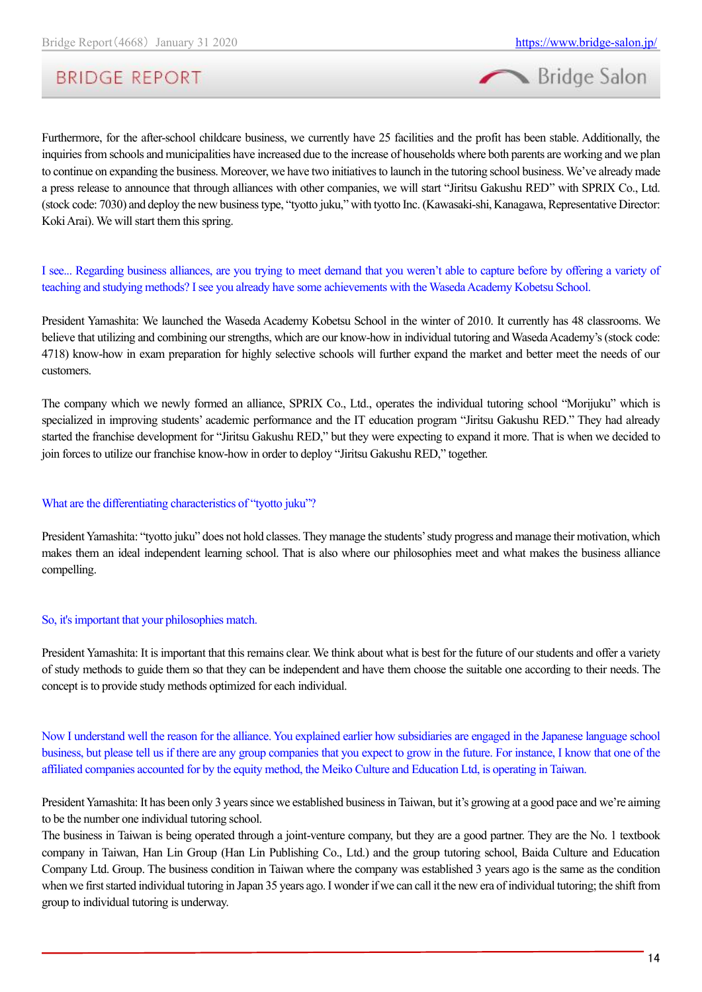



Furthermore, for the after-school childcare business, we currently have 25 facilities and the profit has been stable. Additionally, the inquiries from schools and municipalities have increased due to the increase of households where both parents are working and we plan to continue on expanding the business. Moreover, we have two initiatives to launch in the tutoring school business. We've already made a press release to announce that through alliances with other companies, we will start "Jiritsu Gakushu RED" with SPRIX Co., Ltd. (stock code: 7030) and deploy the new business type, "tyotto juku," with tyotto Inc. (Kawasaki-shi, Kanagawa, Representative Director: Koki Arai). We will start them this spring.

I see... Regarding business alliances, are you trying to meet demand that you weren't able to capture before by offering a variety of teaching and studying methods? I see you already have some achievements with the Waseda Academy Kobetsu School.

President Yamashita: We launched the Waseda Academy Kobetsu School in the winter of 2010. It currently has 48 classrooms. We believe that utilizing and combining our strengths, which are our know-how in individual tutoring and Waseda Academy's (stock code: 4718) know-how in exam preparation for highly selective schools will further expand the market and better meet the needs of our customers.

The company which we newly formed an alliance, SPRIX Co., Ltd., operates the individual tutoring school "Morijuku" which is specialized in improving students' academic performance and the IT education program "Jiritsu Gakushu RED." They had already started the franchise development for "Jiritsu Gakushu RED," but they were expecting to expand it more. That is when we decided to join forces to utilize our franchise know-how in order to deploy "Jiritsu Gakushu RED," together.

#### What are the differentiating characteristics of "tyotto juku"?

President Yamashita: "tyotto juku" does not hold classes. They manage the students' study progress and manage their motivation, which makes them an ideal independent learning school. That is also where our philosophies meet and what makes the business alliance compelling.

#### So, it's important that your philosophies match.

President Yamashita: It is important that this remains clear. We think about what is best for the future of our students and offer a variety of study methods to guide them so that they can be independent and have them choose the suitable one according to their needs. The concept is to provide study methods optimized for each individual.

Now I understand well the reason for the alliance. You explained earlier how subsidiaries are engaged in the Japanese language school business, but please tell us if there are any group companies that you expect to grow in the future. For instance, I know that one of the affiliated companies accounted for by the equity method, the Meiko Culture and Education Ltd, is operating in Taiwan.

President Yamashita: It has been only 3 years since we established business in Taiwan, but it's growing at a good pace and we're aiming to be the number one individual tutoring school.

The business in Taiwan is being operated through a joint-venture company, but they are a good partner. They are the No. 1 textbook company in Taiwan, Han Lin Group (Han Lin Publishing Co., Ltd.) and the group tutoring school, Baida Culture and Education Company Ltd. Group. The business condition in Taiwan where the company was established 3 years ago is the same as the condition when we first started individual tutoring in Japan 35 years ago. I wonder if we can call it the new era of individual tutoring; the shift from group to individual tutoring is underway.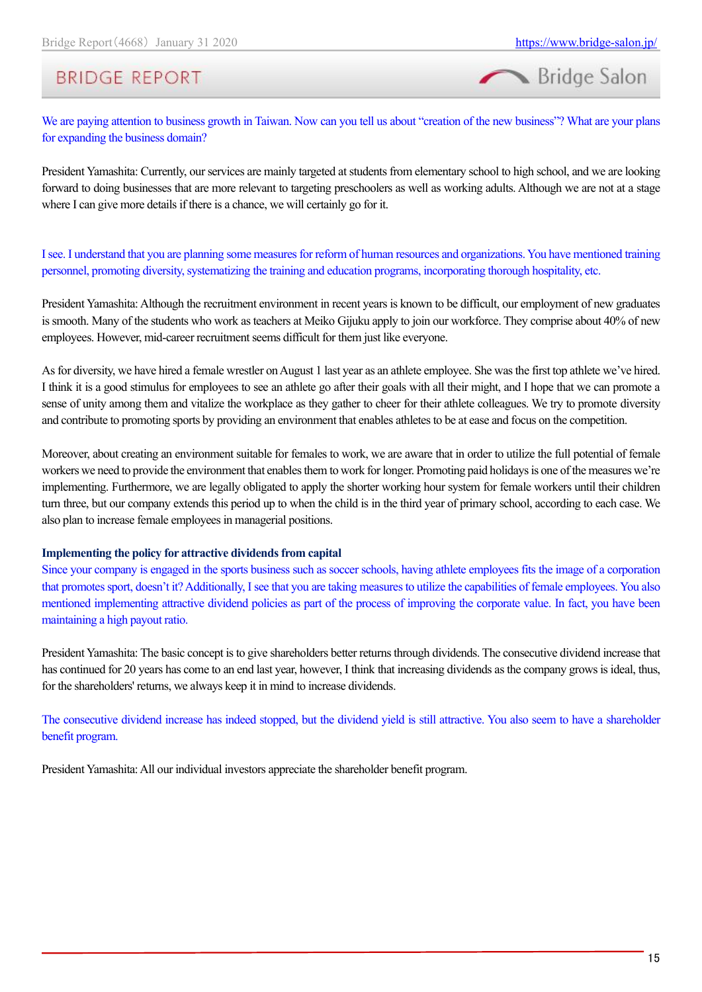

We are paying attention to business growth in Taiwan. Now can you tell us about "creation of the new business"? What are your plans for expanding the business domain?

President Yamashita: Currently, our services are mainly targeted at students from elementary school to high school, and we are looking forward to doing businesses that are more relevant to targeting preschoolers as well as working adults. Although we are not at a stage where I can give more details if there is a chance, we will certainly go for it.

I see. I understand that you are planning some measures for reform of human resources and organizations. You have mentioned training personnel, promoting diversity, systematizing the training and education programs, incorporating thorough hospitality, etc.

President Yamashita: Although the recruitment environment in recent years is known to be difficult, our employment of new graduates is smooth. Many of the students who work as teachers at Meiko Gijuku apply to join our workforce. They comprise about 40% of new employees. However, mid-career recruitment seems difficult for them just like everyone.

As for diversity, we have hired a female wrestler on August 1 last year as an athlete employee. She was the first top athlete we've hired. I think it is a good stimulus for employees to see an athlete go after their goals with all their might, and I hope that we can promote a sense of unity among them and vitalize the workplace as they gather to cheer for their athlete colleagues. We try to promote diversity and contribute to promoting sports by providing an environment that enables athletes to be at ease and focus on the competition.

Moreover, about creating an environment suitable for females to work, we are aware that in order to utilize the full potential of female workers we need to provide the environment that enables them to work for longer. Promoting paid holidays is one of the measures we're implementing. Furthermore, we are legally obligated to apply the shorter working hour system for female workers until their children turn three, but our company extends this period up to when the child is in the third year of primary school, according to each case. We also plan to increase female employees in managerial positions.

### **Implementing the policy for attractive dividends from capital**

Since your company is engaged in the sports business such as soccer schools, having athlete employees fits the image of a corporation that promotes sport, doesn't it? Additionally, I see that you are taking measures to utilize the capabilities of female employees. You also mentioned implementing attractive dividend policies as part of the process of improving the corporate value. In fact, you have been maintaining a high payout ratio.

President Yamashita: The basic concept is to give shareholders better returns through dividends. The consecutive dividend increase that has continued for 20 years has come to an end last year, however, I think that increasing dividends as the company grows is ideal, thus, for the shareholders' returns, we always keep it in mind to increase dividends.

The consecutive dividend increase has indeed stopped, but the dividend yield is still attractive. You also seem to have a shareholder benefit program.

President Yamashita: All our individual investors appreciate the shareholder benefit program.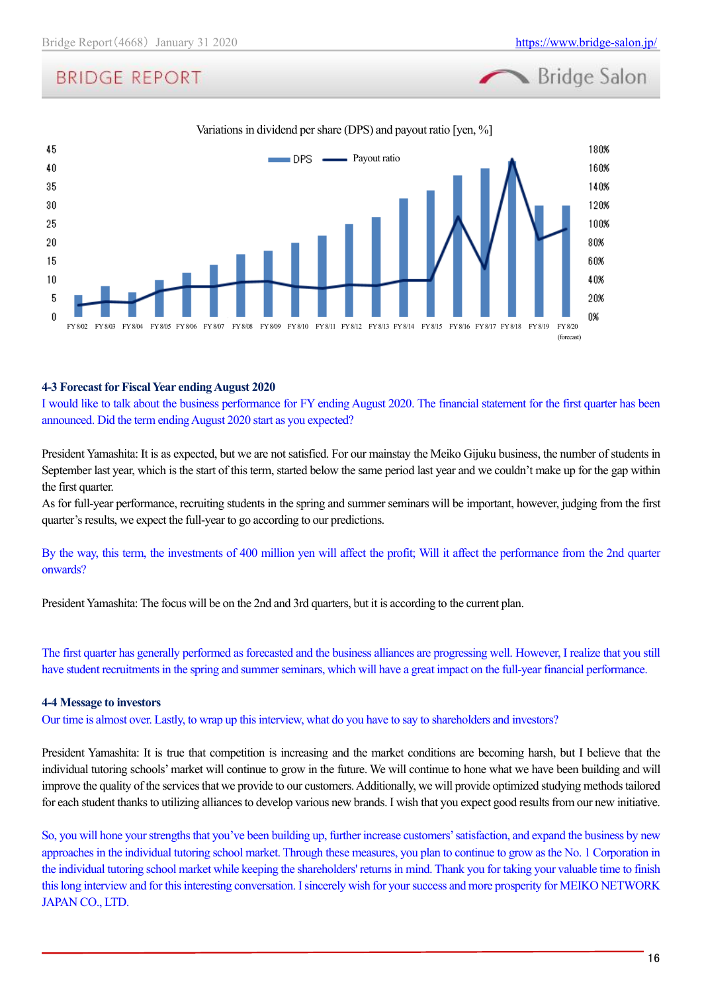**Bridge Salon** 

# **BRIDGE REPORT**



### **4-3 Forecast for Fiscal Year ending August 2020**

I would like to talk about the business performance for FY ending August 2020. The financial statement for the first quarter has been announced. Did the term ending August 2020 start as you expected?

President Yamashita: It is as expected, but we are not satisfied. For our mainstay the Meiko Gijuku business, the number of students in September last year, which is the start of this term, started below the same period last year and we couldn't make up for the gap within the first quarter.

As for full-year performance, recruiting students in the spring and summer seminars will be important, however, judging from the first quarter's results, we expect the full-year to go according to our predictions.

By the way, this term, the investments of 400 million yen will affect the profit; Will it affect the performance from the 2nd quarter onwards?

President Yamashita: The focus will be on the 2nd and 3rd quarters, but it is according to the current plan.

The first quarter has generally performed as forecasted and the business alliances are progressing well. However, I realize that you still have student recruitments in the spring and summer seminars, which will have a great impact on the full-year financial performance.

### **4-4 Message to investors**

Our time is almost over. Lastly, to wrap up this interview, what do you have to say to shareholders and investors?

President Yamashita: It is true that competition is increasing and the market conditions are becoming harsh, but I believe that the individual tutoring schools' market will continue to grow in the future. We will continue to hone what we have been building and will improve the quality of the services that we provide to our customers. Additionally, we will provide optimized studying methods tailored for each student thanks to utilizing alliances to develop various new brands. I wish that you expect good results from our new initiative.

So, you will hone your strengths that you've been building up, further increase customers' satisfaction, and expand the business by new approachesin the individual tutoring school market. Through these measures, you plan to continue to grow as the No. 1 Corporation in the individual tutoring school market while keeping the shareholders' returns in mind. Thank you for taking your valuable time to finish this long interview and for this interesting conversation. I sincerely wish for your success and more prosperity for MEIKO NETWORK JAPAN CO., LTD.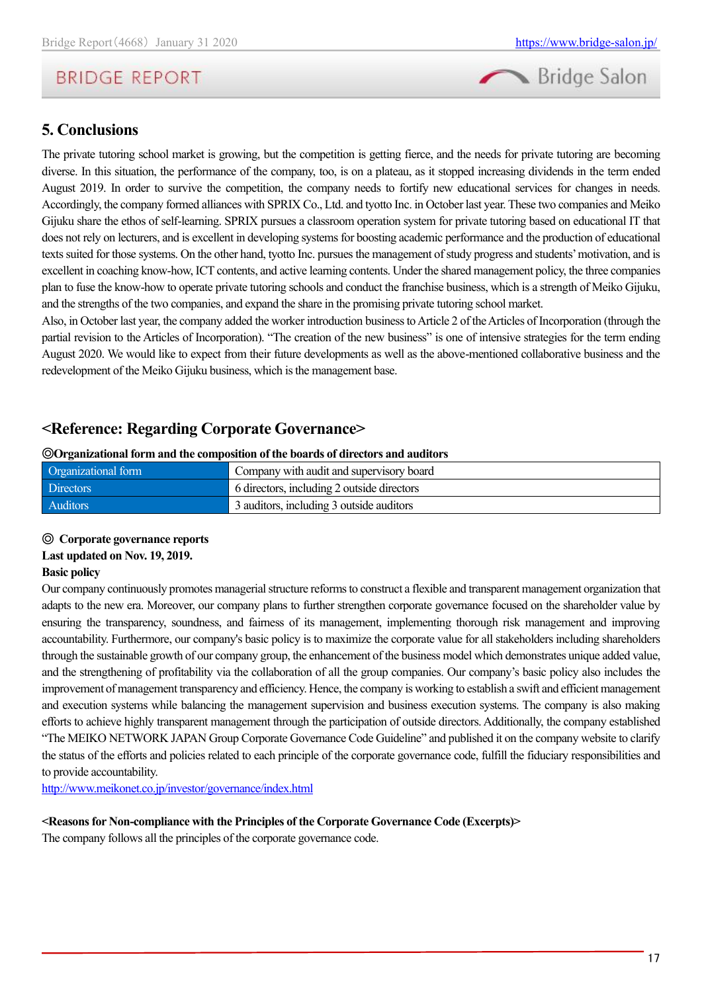

### <span id="page-16-0"></span>**5. Conclusions**

The private tutoring school market is growing, but the competition is getting fierce, and the needs for private tutoring are becoming diverse. In this situation, the performance of the company, too, is on a plateau, as it stopped increasing dividends in the term ended August 2019. In order to survive the competition, the company needs to fortify new educational services for changes in needs. Accordingly, the company formed alliances with SPRIX Co., Ltd. and tyotto Inc. in October last year. These two companies and Meiko Gijuku share the ethos of self-learning. SPRIX pursues a classroom operation system for private tutoring based on educational IT that does not rely on lecturers, and is excellent in developing systems for boosting academic performance and the production of educational textssuited for those systems. On the other hand, tyotto Inc. pursues the management of study progress and students' motivation, and is excellent in coaching know-how, ICT contents, and active learning contents. Under the shared management policy, the three companies plan to fuse the know-how to operate private tutoring schools and conduct the franchise business, which is a strength of Meiko Gijuku, and the strengths of the two companies, and expand the share in the promising private tutoring school market.

Also, in October last year, the company added the worker introduction business to Article 2 of the Articles of Incorporation (through the partial revision to the Articles of Incorporation). "The creation of the new business" is one of intensive strategies for the term ending August 2020. We would like to expect from their future developments as well as the above-mentioned collaborative business and the redevelopment of the Meiko Gijuku business, which is the management base.

### <span id="page-16-1"></span>**<Reference: Regarding Corporate Governance>**

### ◎**Organizational form and the composition of the boards of directors and auditors**

| Organizational form | Company with audit and supervisory board   |  |  |  |
|---------------------|--------------------------------------------|--|--|--|
| <b>Directors</b>    | 6 directors, including 2 outside directors |  |  |  |
| <b>Auditors</b>     | 3 auditors, including 3 outside auditors   |  |  |  |

### ◎ **Corporate governance reports**

### **Last updated on Nov. 19, 2019.**

### **Basic policy**

Our company continuously promotes managerial structure reforms to construct a flexible and transparent management organization that adapts to the new era. Moreover, our company plans to further strengthen corporate governance focused on the shareholder value by ensuring the transparency, soundness, and fairness of its management, implementing thorough risk management and improving accountability. Furthermore, our company's basic policy is to maximize the corporate value for all stakeholders including shareholders through the sustainable growth of our company group, the enhancement of the business model which demonstrates unique added value, and the strengthening of profitability via the collaboration of all the group companies. Our company's basic policy also includes the improvement of management transparency and efficiency. Hence, the company is working to establish a swift and efficient management and execution systems while balancing the management supervision and business execution systems. The company is also making efforts to achieve highly transparent management through the participation of outside directors. Additionally, the company established "The MEIKO NETWORK JAPAN Group Corporate Governance Code Guideline" and published it on the company website to clarify the status of the efforts and policies related to each principle of the corporate governance code, fulfill the fiduciary responsibilities and to provide accountability.

<http://www.meikonet.co.jp/investor/governance/index.html>

### **<Reasons for Non-compliance with the Principles of the Corporate Governance Code (Excerpts)>**

The company follows all the principles of the corporate governance code.